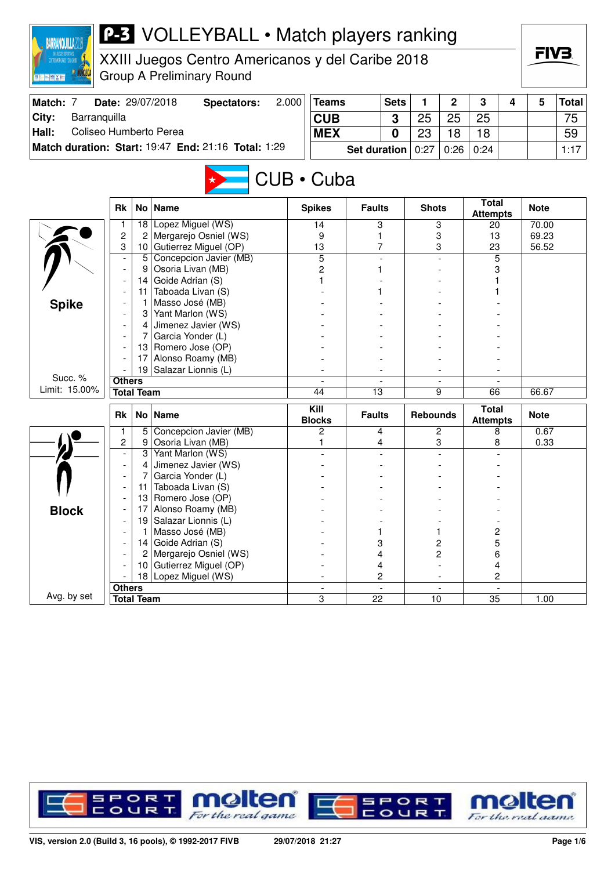| <b>BARRANQUILLA</b>                                       |                               |                   | <b>P-3</b> VOLLEYBALL • Match players ranking                                        |       |                      |                     |             |                 |                          |                                 |   | FIV3.       |              |
|-----------------------------------------------------------|-------------------------------|-------------------|--------------------------------------------------------------------------------------|-------|----------------------|---------------------|-------------|-----------------|--------------------------|---------------------------------|---|-------------|--------------|
| <b>DRACE DE FORCES EN 2017</b><br><b>图片 [三] 图 [ 文 ] 图</b> |                               |                   | XXIII Juegos Centro Americanos y del Caribe 2018<br><b>Group A Preliminary Round</b> |       |                      |                     |             |                 |                          |                                 |   |             |              |
| Match: 7                                                  |                               |                   | Date: 29/07/2018<br><b>Spectators:</b>                                               | 2.000 | <b>Teams</b>         |                     | <b>Sets</b> | 1               | 2                        | 3                               | 4 | 5           | <b>Total</b> |
| City:<br>Barranquilla                                     |                               |                   |                                                                                      |       | <b>CUB</b>           |                     | 3           | 25              | 25                       | 25                              |   |             | 75           |
| Coliseo Humberto Perea<br>Hall:                           |                               |                   |                                                                                      |       | <b>MEX</b>           |                     | 0           | 23              | 18                       | 18                              |   |             | 59           |
|                                                           |                               |                   | Match duration: Start: 19:47 End: 21:16 Total: 1:29                                  |       |                      |                     |             |                 |                          |                                 |   |             |              |
|                                                           |                               |                   |                                                                                      |       |                      | <b>Set duration</b> |             | 0:27            | 0:26                     | 0:24                            |   |             | 1:17         |
|                                                           |                               |                   |                                                                                      |       | CUB · Cuba           |                     |             |                 |                          |                                 |   |             |              |
|                                                           | <b>Rk</b>                     | No                | <b>Name</b>                                                                          |       | <b>Spikes</b>        | <b>Faults</b>       |             | <b>Shots</b>    |                          | <b>Total</b><br><b>Attempts</b> |   | <b>Note</b> |              |
|                                                           | 1                             | 18                | Lopez Miguel (WS)                                                                    |       | 14                   | 3                   |             |                 | 3                        | 20                              |   | 70.00       |              |
|                                                           | 2<br>3                        | 2<br>10           | Mergarejo Osniel (WS)<br>Gutierrez Miguel (OP)                                       |       | 9                    | 1<br>7              |             |                 | 3                        | 13                              |   | 69.23       |              |
|                                                           |                               | 5                 | Concepcion Javier (MB)                                                               |       | 13<br>$\overline{5}$ |                     |             |                 | 3                        | 23<br>5                         |   | 56.52       |              |
|                                                           |                               | 9                 | Osoria Livan (MB)                                                                    |       | 2                    | 1                   |             |                 |                          | 3                               |   |             |              |
|                                                           |                               | 14                | Goide Adrian (S)                                                                     |       |                      |                     |             |                 |                          |                                 |   |             |              |
|                                                           |                               | 11                | Taboada Livan (S)                                                                    |       |                      |                     |             |                 |                          |                                 |   |             |              |
| <b>Spike</b>                                              |                               |                   | Masso José (MB)                                                                      |       |                      |                     |             |                 |                          |                                 |   |             |              |
|                                                           |                               | 3                 | Yant Marlon (WS)                                                                     |       |                      |                     |             |                 |                          |                                 |   |             |              |
|                                                           |                               | 4                 | Jimenez Javier (WS)                                                                  |       |                      |                     |             |                 |                          |                                 |   |             |              |
|                                                           |                               | 7                 | Garcia Yonder (L)                                                                    |       |                      |                     |             |                 |                          |                                 |   |             |              |
|                                                           |                               | 13<br>17          | Romero Jose (OP)<br>Alonso Roamy (MB)                                                |       |                      |                     |             |                 |                          |                                 |   |             |              |
|                                                           |                               | 19                | Salazar Lionnis (L)                                                                  |       |                      |                     |             |                 |                          |                                 |   |             |              |
| Succ. %                                                   | <b>Others</b>                 |                   |                                                                                      |       |                      |                     |             |                 |                          |                                 |   |             |              |
| Limit: 15.00%                                             |                               | <b>Total Team</b> |                                                                                      |       | 44                   | $\overline{13}$     |             |                 | 9                        | 66                              |   | 66.67       |              |
|                                                           |                               |                   |                                                                                      |       | Kill                 |                     |             |                 |                          | <b>Total</b>                    |   |             |              |
|                                                           | <b>Rk</b>                     | No <sub>1</sub>   | <b>Name</b>                                                                          |       | <b>Blocks</b>        | <b>Faults</b>       |             | <b>Rebounds</b> |                          | <b>Attempts</b>                 |   | <b>Note</b> |              |
|                                                           | 1                             | 5<br>9            | Concepcion Javier (MB)                                                               |       | 2                    | 4                   |             |                 | 2                        | 8                               |   | 0.67        |              |
|                                                           | 2<br>$\overline{\phantom{a}}$ | 3                 | Osoria Livan (MB)<br>Yant Marlon (WS)                                                |       | 1                    | 4                   |             |                 | 3                        | 8                               |   | 0.33        |              |
|                                                           |                               | 4                 | Jimenez Javier (WS)                                                                  |       |                      |                     |             |                 |                          |                                 |   |             |              |
|                                                           |                               |                   | Garcia Yonder (L)                                                                    |       |                      |                     |             |                 |                          |                                 |   |             |              |
|                                                           |                               | 11                | Taboada Livan (S)                                                                    |       |                      |                     |             |                 |                          |                                 |   |             |              |
|                                                           |                               | 13                | Romero Jose (OP)                                                                     |       |                      |                     |             |                 |                          |                                 |   |             |              |
| <b>Block</b>                                              |                               | 17                | Alonso Roamy (MB)                                                                    |       |                      |                     |             |                 |                          |                                 |   |             |              |
|                                                           |                               | 19                | Salazar Lionnis (L)                                                                  |       |                      |                     |             |                 |                          |                                 |   |             |              |
|                                                           |                               |                   | Masso José (MB)                                                                      |       |                      | 1                   |             |                 | 1                        | 2                               |   |             |              |
|                                                           |                               | 14                | Goide Adrian (S)                                                                     |       |                      | 3                   |             |                 | 2                        | 5                               |   |             |              |
|                                                           |                               | 2<br>10           | Mergarejo Osniel (WS)<br>Gutierrez Miguel (OP)                                       |       |                      | 4<br>4              |             |                 | 2                        | 6<br>4                          |   |             |              |
|                                                           |                               |                   | 18 Lopez Miguel (WS)                                                                 |       |                      | 2                   |             |                 | $\overline{\phantom{a}}$ | 2                               |   |             |              |
|                                                           | <b>Others</b>                 |                   |                                                                                      |       |                      |                     |             |                 |                          |                                 |   |             |              |
| Avg. by set                                               |                               | <b>Total Team</b> |                                                                                      |       | 3                    | 22                  |             | 10              |                          | 35                              |   | 1.00        |              |

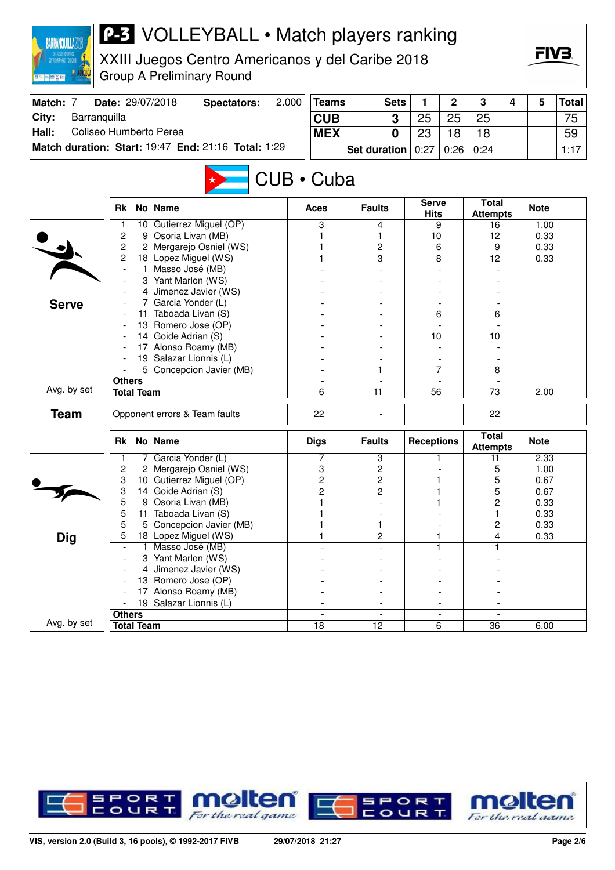| <b>BARRANQUILLA2</b>                                    |                          |                   | <b>P-3</b> VOLLEYBALL • Match players ranking       |       |                  |                     |             |                   |                |                                 |   |              |              |
|---------------------------------------------------------|--------------------------|-------------------|-----------------------------------------------------|-------|------------------|---------------------|-------------|-------------------|----------------|---------------------------------|---|--------------|--------------|
| ZATTEGANDE ZGADALTIKOS<br>Zatteganderegande 181. gaina: |                          |                   | XXIII Juegos Centro Americanos y del Caribe 2018    |       |                  |                     |             |                   |                |                                 |   | FIV3.        |              |
| <b>图片 [m] 图 [ X ] 图</b>                                 |                          |                   | <b>Group A Preliminary Round</b>                    |       |                  |                     |             |                   |                |                                 |   |              |              |
| Match: 7                                                |                          |                   | Date: 29/07/2018<br><b>Spectators:</b>              | 2.000 | <b>Teams</b>     |                     | <b>Sets</b> | 1                 | $\overline{2}$ | 3                               | 4 | 5            | <b>Total</b> |
| Barranquilla<br>City:                                   |                          |                   |                                                     |       | <b>CUB</b>       |                     | 3           | 25                | 25             | 25                              |   |              | 75           |
| Coliseo Humberto Perea<br>Hall:                         |                          |                   |                                                     |       | <b>MEX</b>       |                     | $\bf{0}$    | 23                | 18             | 18                              |   |              | 59           |
|                                                         |                          |                   | Match duration: Start: 19:47 End: 21:16 Total: 1:29 |       |                  | <b>Set duration</b> |             | 0:27              | 0:26           | 0:24                            |   |              | 1:17         |
|                                                         |                          |                   |                                                     |       | $CUB \cdot Cuba$ |                     |             |                   |                |                                 |   |              |              |
|                                                         | <b>Rk</b>                |                   | No   Name                                           |       | Aces             | <b>Faults</b>       |             | Serve<br>Hits     |                | <b>Total</b><br><b>Attempts</b> |   | <b>Note</b>  |              |
|                                                         | 1                        | 10 <sup>1</sup>   | Gutierrez Miguel (OP)                               |       | 3                | 4                   |             |                   | 9              | 16                              |   | 1.00         |              |
|                                                         | $\overline{c}$           | 9                 | Osoria Livan (MB)                                   |       |                  | 1                   |             | 10                |                | 12                              |   | 0.33         |              |
|                                                         | $\overline{c}$           | 2                 | Mergarejo Osniel (WS)                               |       |                  | 2                   |             | 6                 |                | 9                               |   | 0.33         |              |
|                                                         | 2                        | 1.                | 18 Lopez Miguel (WS)<br>Masso José (MB)             |       |                  | 3                   |             | 8                 |                | 12                              |   | 0.33         |              |
|                                                         | $\overline{\phantom{a}}$ | 31                | Yant Marlon (WS)                                    |       |                  |                     |             |                   |                |                                 |   |              |              |
|                                                         |                          | 4                 | Jimenez Javier (WS)                                 |       |                  |                     |             |                   |                |                                 |   |              |              |
| <b>Serve</b>                                            |                          | 7                 | Garcia Yonder (L)                                   |       |                  |                     |             |                   |                |                                 |   |              |              |
|                                                         |                          | 11                | Taboada Livan (S)                                   |       |                  |                     |             | 6                 |                | 6                               |   |              |              |
|                                                         |                          | 13                | Romero Jose (OP)                                    |       |                  |                     |             |                   |                |                                 |   |              |              |
|                                                         |                          |                   | 14 Goide Adrian $(S)$                               |       |                  |                     |             | 10                |                | 10                              |   |              |              |
|                                                         |                          | 17                | Alonso Roamy (MB)                                   |       |                  |                     |             |                   |                |                                 |   |              |              |
|                                                         |                          | 19                | Salazar Lionnis (L)                                 |       |                  |                     |             |                   |                |                                 |   |              |              |
|                                                         | <b>Others</b>            | 5                 | Concepcion Javier (MB)                              |       |                  | 1                   |             |                   | 7              | 8                               |   |              |              |
| Avg. by set                                             |                          | <b>Total Team</b> |                                                     |       | 6                | 11                  |             | 56                |                | 73                              |   | 2.00         |              |
|                                                         |                          |                   |                                                     |       |                  |                     |             |                   |                |                                 |   |              |              |
| <b>Team</b>                                             |                          |                   | Opponent errors & Team faults                       |       | 22               |                     |             |                   |                | 22                              |   |              |              |
|                                                         | <b>Rk</b>                |                   | No Name                                             |       | <b>Digs</b>      | <b>Faults</b>       |             | <b>Receptions</b> |                | <b>Total</b><br><b>Attempts</b> |   | <b>Note</b>  |              |
|                                                         |                          |                   | Garcia Yonder (L)                                   |       | 7                | 3                   |             |                   |                | 11                              |   | 2.33         |              |
|                                                         | $\overline{\mathbf{c}}$  | 2                 | Mergarejo Osniel (WS)                               |       | 3                | 2                   |             |                   |                | 5                               |   | 1.00         |              |
|                                                         | 3                        |                   | 10 Gutierrez Miguel (OP)<br>Goide Adrian (S)        |       | $\overline{c}$   | $\overline{c}$      |             |                   |                | 5                               |   | 0.67         |              |
|                                                         | 3<br>5                   | 14<br>9           | Osoria Livan (MB)                                   |       | 2                | 2                   |             | 1                 |                | 5<br>$\overline{c}$             |   | 0.67<br>0.33 |              |
|                                                         | 5                        | 11                | Taboada Livan (S)                                   |       |                  |                     |             |                   |                | 1                               |   | 0.33         |              |
|                                                         | 5                        | 5                 | Concepcion Javier (MB)                              |       |                  | 1                   |             |                   |                | $\overline{c}$                  |   | 0.33         |              |
| <b>Dig</b>                                              | 5                        | 18                | Lopez Miguel (WS)                                   |       |                  | $\overline{c}$      |             |                   |                | 4                               |   | 0.33         |              |
|                                                         |                          |                   | Masso José (MB)                                     |       |                  |                     |             |                   |                | 1                               |   |              |              |
|                                                         |                          | 3                 | Yant Marlon (WS)                                    |       |                  |                     |             |                   |                |                                 |   |              |              |
|                                                         |                          |                   | Jimenez Javier (WS)                                 |       |                  |                     |             |                   |                |                                 |   |              |              |
|                                                         |                          |                   | 13 Romero Jose (OP)                                 |       |                  |                     |             |                   |                |                                 |   |              |              |
|                                                         |                          | 17                | Alonso Roamy (MB)<br>19 Salazar Lionnis (L)         |       |                  |                     |             |                   |                |                                 |   |              |              |
|                                                         | <b>Others</b>            |                   |                                                     |       |                  |                     |             |                   |                |                                 |   |              |              |
| Avg. by set                                             |                          | <b>Total Team</b> |                                                     |       | 18               | $\overline{12}$     |             |                   | 6              | 36                              |   | 6.00         |              |

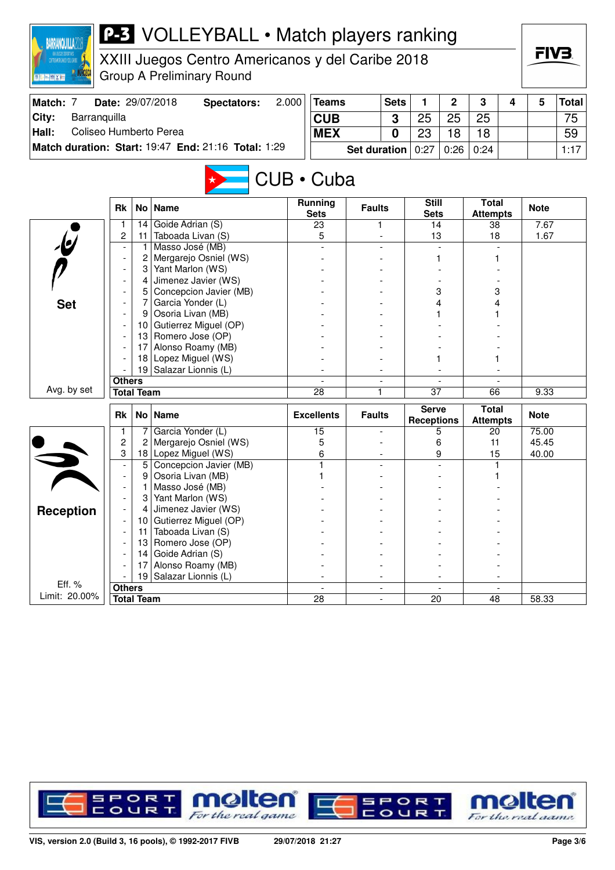| <b>BARRANQUILLA20</b><br>DIANO JOE POMOGRAPHIC<br>图 <mark>机平面 / 图 【 文 编</mark> 文 |                   |         | <b>P-3</b> VOLLEYBALL • Match players ranking<br>XXIII Juegos Centro Americanos y del Caribe 2018<br><b>Group A Preliminary Round</b> |       |                              |                     |             |                                   |                          |                                 |   | FIV3.       |              |
|----------------------------------------------------------------------------------|-------------------|---------|---------------------------------------------------------------------------------------------------------------------------------------|-------|------------------------------|---------------------|-------------|-----------------------------------|--------------------------|---------------------------------|---|-------------|--------------|
| Match: 7                                                                         |                   |         | Date: 29/07/2018<br><b>Spectators:</b>                                                                                                | 2.000 | <b>Teams</b>                 |                     | <b>Sets</b> | 1                                 | $\overline{2}$           | 3                               | 4 | 5           | <b>Total</b> |
| City:<br>Barranquilla                                                            |                   |         |                                                                                                                                       |       | <b>CUB</b>                   |                     | 3           | 25                                | 25                       | 25                              |   |             | 75           |
| Coliseo Humberto Perea<br>Hall:                                                  |                   |         |                                                                                                                                       |       |                              |                     |             | 23                                |                          |                                 |   |             |              |
|                                                                                  |                   |         |                                                                                                                                       |       | <b>MEX</b>                   |                     | 0           |                                   | 18                       | 18                              |   |             | 59           |
|                                                                                  |                   |         | Match duration: Start: 19:47 End: 21:16 Total: 1:29                                                                                   |       |                              | <b>Set duration</b> |             | 0:27                              | 0:26                     | 0:24                            |   |             | 1:17         |
|                                                                                  | <b>Rk</b>         |         | No   Name                                                                                                                             |       | CUB • Cuba<br><b>Running</b> | <b>Faults</b>       |             | <b>Still</b>                      |                          | <b>Total</b>                    |   | <b>Note</b> |              |
|                                                                                  |                   |         |                                                                                                                                       |       | <b>Sets</b>                  |                     |             | <b>Sets</b>                       |                          | <b>Attempts</b>                 |   |             |              |
|                                                                                  | $\mathbf{1}$      | 14      | Goide Adrian (S)                                                                                                                      |       | 23                           | 1                   |             | 14                                |                          | 38                              |   | 7.67        |              |
|                                                                                  | 2                 | 11<br>1 | Taboada Livan (S)<br>Masso José (MB)                                                                                                  |       | 5                            |                     |             | 13                                |                          | 18                              |   | 1.67        |              |
|                                                                                  |                   | 2       | Mergarejo Osniel (WS)                                                                                                                 |       |                              |                     |             |                                   | 1                        |                                 |   |             |              |
|                                                                                  |                   | 3       | Yant Marlon (WS)                                                                                                                      |       |                              |                     |             |                                   |                          |                                 |   |             |              |
|                                                                                  |                   | 4       | Jimenez Javier (WS)                                                                                                                   |       |                              |                     |             |                                   |                          |                                 |   |             |              |
|                                                                                  |                   | 5       | Concepcion Javier (MB)                                                                                                                |       |                              |                     |             |                                   | 3                        | 3                               |   |             |              |
| <b>Set</b>                                                                       |                   | 7       | Garcia Yonder (L)                                                                                                                     |       |                              |                     |             |                                   | 4                        |                                 |   |             |              |
|                                                                                  |                   | 9       | Osoria Livan (MB)                                                                                                                     |       |                              |                     |             |                                   |                          |                                 |   |             |              |
|                                                                                  |                   |         | 10 Gutierrez Miguel (OP)                                                                                                              |       |                              |                     |             |                                   |                          |                                 |   |             |              |
|                                                                                  |                   |         | 13 Romero Jose (OP)                                                                                                                   |       |                              |                     |             |                                   |                          |                                 |   |             |              |
|                                                                                  |                   | 17      | Alonso Roamy (MB)                                                                                                                     |       |                              |                     |             |                                   |                          |                                 |   |             |              |
|                                                                                  |                   | 18      | Lopez Miguel (WS)                                                                                                                     |       |                              |                     |             |                                   |                          |                                 |   |             |              |
|                                                                                  | <b>Others</b>     | 19      | Salazar Lionnis (L)                                                                                                                   |       |                              |                     |             |                                   |                          |                                 |   |             |              |
| Avg. by set                                                                      | <b>Total Team</b> |         |                                                                                                                                       |       | $\overline{28}$              | 1                   |             | $\overline{37}$                   |                          | 66                              |   | 9.33        |              |
|                                                                                  |                   |         |                                                                                                                                       |       |                              |                     |             |                                   |                          |                                 |   |             |              |
|                                                                                  | Rk                |         | No   Name                                                                                                                             |       | <b>Excellents</b>            | <b>Faults</b>       |             | <b>Serve</b><br><b>Receptions</b> |                          | <b>Total</b><br><b>Attempts</b> |   | <b>Note</b> |              |
|                                                                                  | 1                 | 7       | Garcia Yonder (L)                                                                                                                     |       | 15                           |                     |             |                                   | 5                        | 20                              |   | 75.00       |              |
|                                                                                  | $\overline{c}$    |         | Mergarejo Osniel (WS)                                                                                                                 |       | 5                            |                     |             |                                   | 6                        | 11                              |   | 45.45       |              |
|                                                                                  | 3                 |         | 18 Lopez Miguel (WS)                                                                                                                  |       | 6                            |                     |             |                                   | 9                        | 15                              |   | 40.00       |              |
|                                                                                  |                   | 5       | Concepcion Javier (MB)                                                                                                                |       | 1                            |                     |             |                                   |                          | 1                               |   |             |              |
|                                                                                  |                   | 9       | Osoria Livan (MB)                                                                                                                     |       | 1                            |                     |             |                                   |                          |                                 |   |             |              |
|                                                                                  |                   | 3       | Masso José (MB)<br>Yant Marlon (WS)                                                                                                   |       |                              |                     |             |                                   |                          |                                 |   |             |              |
|                                                                                  |                   | 4       | Jimenez Javier (WS)                                                                                                                   |       |                              |                     |             |                                   |                          |                                 |   |             |              |
| <b>Reception</b>                                                                 |                   | 10      | Gutierrez Miguel (OP)                                                                                                                 |       |                              |                     |             |                                   |                          |                                 |   |             |              |
|                                                                                  |                   | 11      | Taboada Livan (S)                                                                                                                     |       |                              |                     |             |                                   |                          |                                 |   |             |              |
|                                                                                  |                   | 13      | Romero Jose (OP)                                                                                                                      |       |                              |                     |             |                                   |                          |                                 |   |             |              |
|                                                                                  |                   | 14      | Goide Adrian (S)                                                                                                                      |       |                              |                     |             |                                   |                          |                                 |   |             |              |
|                                                                                  |                   | 17      | Alonso Roamy (MB)                                                                                                                     |       |                              |                     |             |                                   |                          |                                 |   |             |              |
| Eff. %                                                                           |                   |         | 19   Salazar Lionnis (L)                                                                                                              |       |                              |                     |             |                                   | $\overline{\phantom{a}}$ |                                 |   |             |              |
| Limit: 20.00%                                                                    | <b>Others</b>     |         |                                                                                                                                       |       |                              |                     |             |                                   |                          |                                 |   |             |              |
|                                                                                  | <b>Total Team</b> |         |                                                                                                                                       |       | 28                           |                     |             | 20                                |                          | 48                              |   | 58.33       |              |

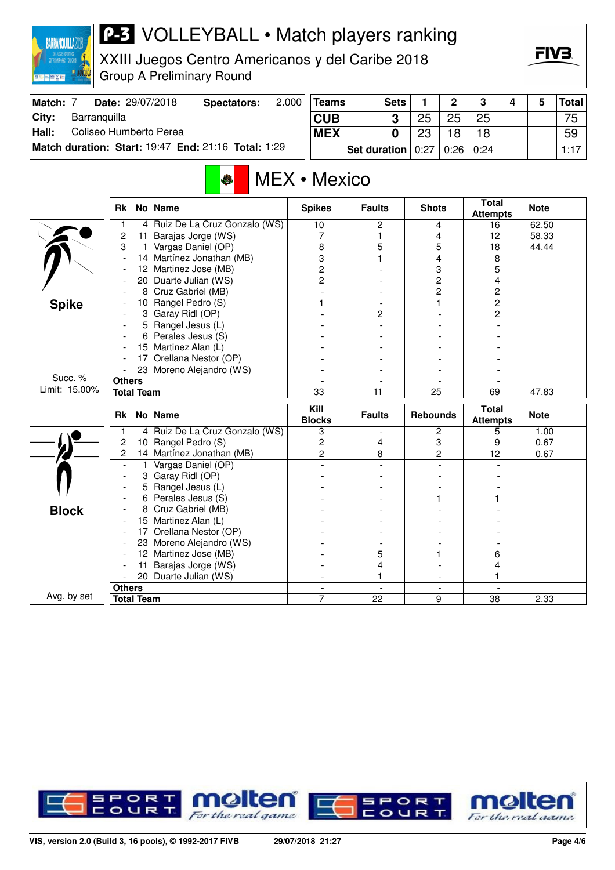

## **P-3** VOLLEYBALL • Match players ranking

XXIII Juegos Centro Americanos y del Caribe 2018 Group A Preliminary Round

| Match: 7 |              | Date: 29/07/2018       | Spectators:                                                | 2.000 | Teams      | <b>Sets</b>           |                            | C.   | ≏    |  | Total│ |
|----------|--------------|------------------------|------------------------------------------------------------|-------|------------|-----------------------|----------------------------|------|------|--|--------|
| City:    | Barranguilla |                        |                                                            |       | <b>CUB</b> |                       | 25                         | 25   | 25   |  | 75     |
| Hall:    |              | Coliseo Humberto Perea |                                                            |       | <b>MEX</b> |                       | ດດ                         | 18   | 18   |  | 59     |
|          |              |                        | <b>Match duration: Start: 19:47 End: 21:16 Total: 1:29</b> |       |            | <b>Set duration</b> ∣ | $^{\circ}$ 0:27 $^{\circ}$ | 0:26 | 0:24 |  | 1:17   |

# MEX • Mexico

|               | <b>Rk</b>                |                   | No Name                      | <b>Spikes</b>             | <b>Faults</b>        | <b>Shots</b>                  | <b>Total</b><br><b>Attempts</b> | <b>Note</b> |
|---------------|--------------------------|-------------------|------------------------------|---------------------------|----------------------|-------------------------------|---------------------------------|-------------|
|               | 1                        | 4                 | Ruiz De La Cruz Gonzalo (WS) | 10                        | 2                    | 4                             | 16                              | 62.50       |
|               | $\overline{2}$           | 11                | Barajas Jorge (WS)           | 7                         | 1                    | 4                             | 12                              | 58.33       |
|               | 3                        | 1                 | Vargas Daniel (OP)           | 8                         | 5                    | 5                             | 18                              | 44.44       |
|               | ÷,                       | 14                | Martínez Jonathan (MB)       | $\overline{\overline{3}}$ | 1                    | 4                             | 8                               |             |
|               | $\overline{\phantom{a}}$ | 12                | Martinez Jose (MB)           | 2                         |                      | 3                             | 5                               |             |
|               |                          | 20                | Duarte Julian (WS)           | $\overline{2}$            |                      | $\overline{c}$                | 4                               |             |
|               |                          | 8                 | Cruz Gabriel (MB)            |                           |                      | $\overline{c}$                | $\overline{c}$                  |             |
| <b>Spike</b>  |                          | 10                | Rangel Pedro (S)             |                           |                      |                               | $\overline{c}$                  |             |
|               |                          | 3                 | Garay Ridl (OP)              |                           | 2                    |                               | 2                               |             |
|               |                          | 5                 | Rangel Jesus (L)             |                           |                      |                               |                                 |             |
|               |                          | 6                 | Perales Jesus (S)            |                           |                      |                               |                                 |             |
|               |                          | 15                | Martinez Alan (L)            |                           |                      |                               |                                 |             |
|               |                          | 17                | Orellana Nestor (OP)         |                           |                      |                               |                                 |             |
|               |                          |                   | 23 Moreno Alejandro (WS)     |                           | ۰                    |                               |                                 |             |
| Succ. %       | <b>Others</b>            |                   |                              | $\overline{\phantom{a}}$  | $\overline{a}$       | $\overline{\phantom{a}}$      |                                 |             |
| Limit: 15.00% | <b>Total Team</b>        |                   |                              | $\overline{33}$           | 11                   | $\overline{25}$               | 69                              | 47.83       |
|               |                          |                   |                              |                           |                      |                               |                                 |             |
|               |                          |                   |                              | $\overline{K}$ ill        |                      |                               | <b>Total</b>                    |             |
|               | <b>Rk</b>                |                   | No   Name                    | <b>Blocks</b>             | <b>Faults</b>        | <b>Rebounds</b>               | <b>Attempts</b>                 | <b>Note</b> |
|               | $\mathbf{1}$             | 4                 | Ruiz De La Cruz Gonzalo (WS) | 3                         | $\blacksquare$       | 2                             | 5                               | 1.00        |
|               | $\overline{2}$           | 10                | Rangel Pedro (S)             | $\overline{c}$            | 4                    | 3                             | 9                               | 0.67        |
|               | 2                        | 14                | Martínez Jonathan (MB)       | $\overline{2}$            | 8                    | $\overline{c}$                | 12                              | 0.67        |
|               | $\overline{\phantom{a}}$ | 1                 | Vargas Daniel (OP)           |                           |                      | $\overline{a}$                |                                 |             |
|               | $\overline{\phantom{a}}$ | 3                 | Garay Ridl (OP)              |                           |                      |                               |                                 |             |
|               |                          | 5                 | Rangel Jesus (L)             |                           |                      |                               |                                 |             |
|               |                          | 6                 | Perales Jesus (S)            |                           |                      |                               |                                 |             |
|               |                          | 8                 | Cruz Gabriel (MB)            |                           |                      |                               |                                 |             |
| <b>Block</b>  |                          | 15                | Martinez Alan (L)            |                           |                      |                               |                                 |             |
|               | $\overline{\phantom{a}}$ | 17                | Orellana Nestor (OP)         |                           |                      |                               |                                 |             |
|               |                          | 23                | Moreno Alejandro (WS)        |                           |                      |                               |                                 |             |
|               |                          | $12 \overline{ }$ | Martinez Jose (MB)           |                           | 5                    |                               | 6                               |             |
|               |                          | 11                | Barajas Jorge (WS)           |                           | 4                    |                               | 4                               |             |
|               |                          | 20                | Duarte Julian (WS)           |                           | 1                    |                               | 1                               |             |
| Avg. by set   | <b>Others</b>            |                   |                              | $\blacksquare$<br>7       | $\blacksquare$<br>22 | $\overline{\phantom{a}}$<br>9 | $\overline{\phantom{a}}$        | 2.33        |

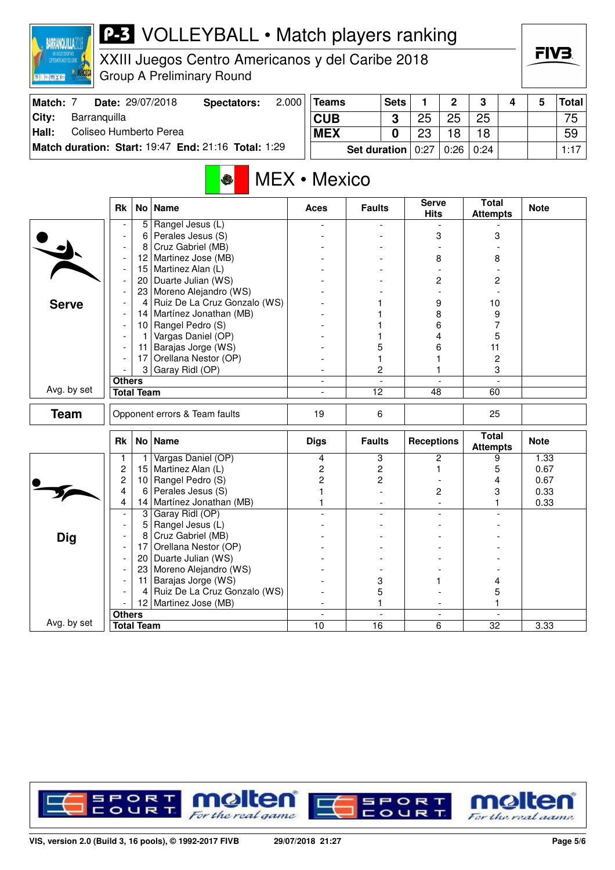

# **P-3** VOLLEYBALL • Match players ranking

XXIII Juegos Centro Americanos y del Caribe 2018 Group A Preliminary Round

| Match: |              | Date: 29/07/2018       | Spectators:                                         | 2.000 | Teams      | <b>Sets</b>  |      | C               | ≏    |  | <b>Total</b> |
|--------|--------------|------------------------|-----------------------------------------------------|-------|------------|--------------|------|-----------------|------|--|--------------|
| City:  | Barranguilla |                        |                                                     |       | <b>CUB</b> | ົ            | 25   | 25              | 25   |  | 75           |
| Hall:  |              | Coliseo Humberto Perea |                                                     |       | <b>MEX</b> |              | 23   | 18 <sup>1</sup> | 18   |  | 59           |
|        |              |                        | Match duration: Start: 19:47 End: 21:16 Total: 1:29 |       |            | Set duration | 0:27 | 0:26            | 0:24 |  | 1:17         |

# MEX • Mexico

|              | <b>Rk</b>                | No l              | <b>Name</b>                   | <b>Aces</b>              | <b>Faults</b>   | <b>Serve</b><br><b>Hits</b> | Total<br><b>Attempts</b>        | <b>Note</b> |
|--------------|--------------------------|-------------------|-------------------------------|--------------------------|-----------------|-----------------------------|---------------------------------|-------------|
|              |                          | 5                 | Rangel Jesus (L)              |                          |                 |                             |                                 |             |
|              |                          | 6                 | Perales Jesus (S)             |                          |                 | 3                           | 3                               |             |
|              |                          | 8                 | Cruz Gabriel (MB)             |                          |                 |                             |                                 |             |
|              |                          | 12 <sub>2</sub>   | Martinez Jose (MB)            |                          |                 | 8                           | 8                               |             |
|              | $\overline{\phantom{a}}$ | 15                | Martinez Alan (L)             |                          |                 |                             |                                 |             |
|              | $\overline{\phantom{a}}$ | 20                | Duarte Julian (WS)            |                          |                 | 2                           | 2                               |             |
|              |                          | 23                | Moreno Alejandro (WS)         |                          |                 |                             |                                 |             |
| <b>Serve</b> |                          | $\overline{4}$    | Ruiz De La Cruz Gonzalo (WS)  |                          |                 | 9                           | 10                              |             |
|              | $\overline{\phantom{a}}$ | 14                | Martínez Jonathan (MB)        |                          |                 | 8                           | 9                               |             |
|              | $\overline{\phantom{a}}$ | 10 <sup>°</sup>   | Rangel Pedro (S)              |                          |                 | 6                           | 7                               |             |
|              | $\blacksquare$           | $\mathbf{1}$      | Vargas Daniel (OP)            |                          |                 | 4                           | 5                               |             |
|              | $\overline{\phantom{a}}$ | 11 <sup>1</sup>   | Barajas Jorge (WS)            |                          | 5               | 6                           | 11                              |             |
|              |                          | 17                | Orellana Nestor (OP)          |                          | 1               |                             | $\boldsymbol{2}$                |             |
|              |                          |                   | 3 Garay Ridl (OP)             |                          | $\overline{c}$  | 1                           | 3                               |             |
|              | <b>Others</b>            |                   |                               | $\overline{\phantom{a}}$ | $\sim$          | $\overline{a}$              | $\overline{a}$                  |             |
| Avg. by set  |                          | <b>Total Team</b> |                               | $\blacksquare$           | $\overline{12}$ | 48                          | 60                              |             |
| <b>Team</b>  |                          |                   | Opponent errors & Team faults | 19                       | 6               |                             | 25                              |             |
|              | <b>Rk</b>                |                   | No   Name                     | <b>Digs</b>              | <b>Faults</b>   | <b>Receptions</b>           | <b>Total</b><br><b>Attempts</b> | <b>Note</b> |
|              | 1                        | $\mathbf{1}$      | Vargas Daniel (OP)            | 4                        | 3               | $\overline{c}$              | 9                               | 1.33        |
|              | $\overline{\mathbf{c}}$  | 15                | Martinez Alan (L)             | 2                        | 2               | 1                           | 5                               | 0.67        |
|              | $\overline{c}$           | 10                | Rangel Pedro (S)              | $\overline{c}$           | 2               |                             | 4                               | 0.67        |
|              | 4                        | 6                 | Perales Jesus (S)             |                          |                 | 2                           | 3                               | 0.33        |
|              | 4                        | 14                | Martínez Jonathan (MB)        |                          |                 |                             |                                 | 0.33        |
|              | $\blacksquare$           | 3                 | Garay Ridl (OP)               |                          |                 |                             |                                 |             |
|              | $\overline{\phantom{a}}$ | 5                 | Rangel Jesus (L)              |                          |                 |                             |                                 |             |
| <b>Dig</b>   | $\overline{\phantom{a}}$ | 8                 | Cruz Gabriel (MB)             |                          |                 |                             |                                 |             |
|              |                          | 17                | Orellana Nestor (OP)          |                          |                 |                             |                                 |             |
|              | $\overline{\phantom{a}}$ | 20                | Duarte Julian (WS)            |                          |                 |                             |                                 |             |
|              |                          | 23                | Moreno Alejandro (WS)         |                          |                 |                             |                                 |             |
|              | $\overline{\phantom{a}}$ | 11                | Barajas Jorge (WS)            |                          | 3               |                             | 4                               |             |
|              |                          | 4                 | Ruiz De La Cruz Gonzalo (WS)  |                          | 5               |                             | 5                               |             |
|              |                          |                   | 12 Martinez Jose (MB)         | $\overline{\phantom{a}}$ | 1               |                             |                                 |             |
|              | <b>Others</b>            |                   |                               | $\blacksquare$           | $\blacksquare$  | $\overline{\phantom{a}}$    |                                 |             |
| Avg. by set  |                          | <b>Total Team</b> |                               | 10                       | 16              | 6                           | 32                              | 3.33        |